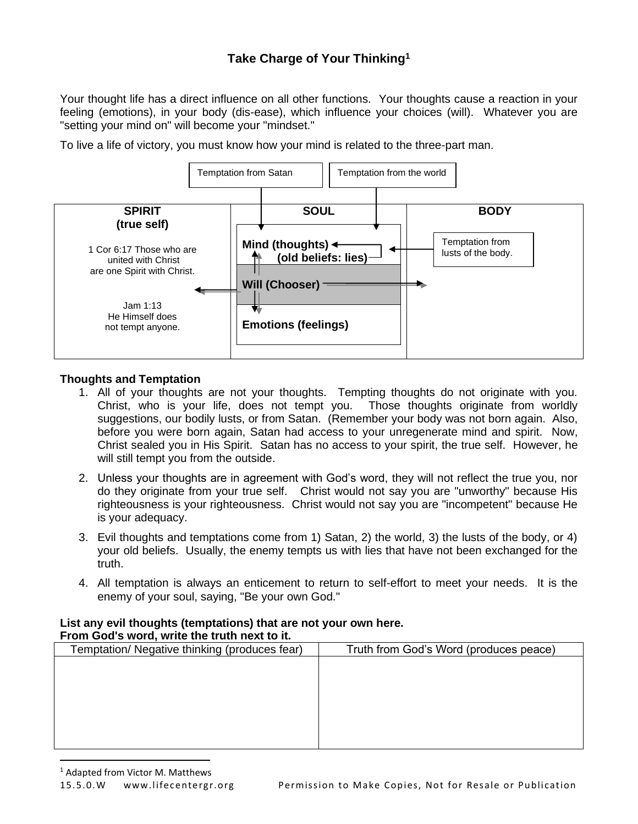# **Take Charge of Your Thinking<sup>1</sup>**

Your thought life has a direct influence on all other functions. Your thoughts cause a reaction in your feeling (emotions), in your body (dis-ease), which influence your choices (will). Whatever you are "setting your mind on" will become your "mindset."

To live a life of victory, you must know how your mind is related to the three-part man.



#### **Thoughts and Temptation**

- 1. All of your thoughts are not your thoughts. Tempting thoughts do not originate with you. Christ, who is your life, does not tempt you. Those thoughts originate from worldly suggestions, our bodily lusts, or from Satan. (Remember your body was not born again. Also, before you were born again, Satan had access to your unregenerate mind and spirit. Now, Christ sealed you in His Spirit. Satan has no access to your spirit, the true self. However, he will still tempt you from the outside.
- 2. Unless your thoughts are in agreement with God's word, they will not reflect the true you, nor do they originate from your true self. Christ would not say you are "unworthy" because His righteousness is your righteousness. Christ would not say you are "incompetent" because He is your adequacy.
- 3. Evil thoughts and temptations come from 1) Satan, 2) the world, 3) the lusts of the body, or 4) your old beliefs. Usually, the enemy tempts us with lies that have not been exchanged for the truth.
- 4. All temptation is always an enticement to return to self-effort to meet your needs. It is the enemy of your soul, saying, "Be your own God."

#### **List any evil thoughts (temptations) that are not your own here. From God's word, write the truth next to it.**

| Temptation/ Negative thinking (produces fear) | Truth from God's Word (produces peace) |
|-----------------------------------------------|----------------------------------------|
|                                               |                                        |
|                                               |                                        |
|                                               |                                        |
|                                               |                                        |
|                                               |                                        |
|                                               |                                        |
|                                               |                                        |